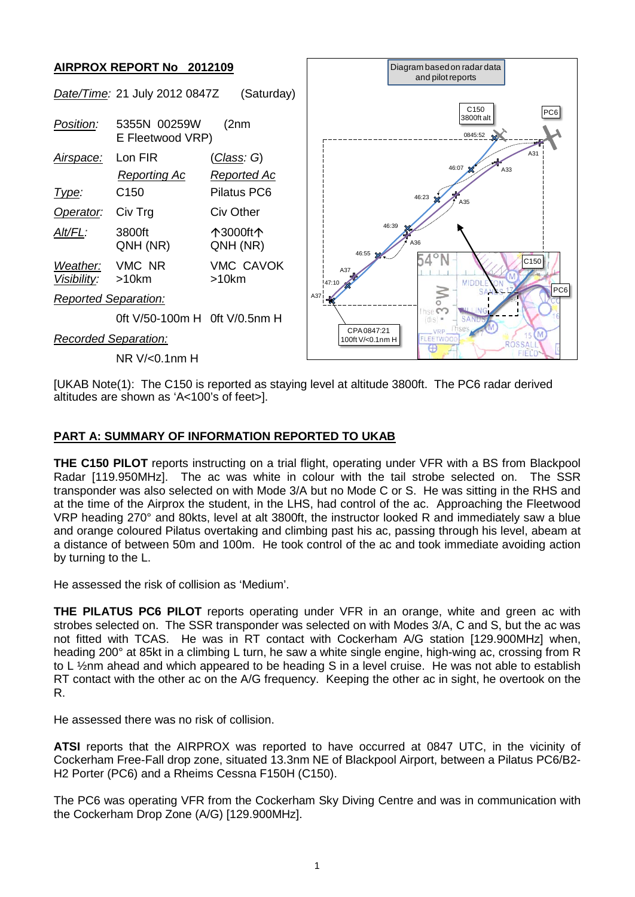

[UKAB Note(1): The C150 is reported as staying level at altitude 3800ft. The PC6 radar derived altitudes are shown as 'A<100's of feet>].

## **PART A: SUMMARY OF INFORMATION REPORTED TO UKAB**

**THE C150 PILOT** reports instructing on a trial flight, operating under VFR with a BS from Blackpool Radar [119.950MHz]. The ac was white in colour with the tail strobe selected on. The SSR transponder was also selected on with Mode 3/A but no Mode C or S. He was sitting in the RHS and at the time of the Airprox the student, in the LHS, had control of the ac. Approaching the Fleetwood VRP heading 270° and 80kts, level at alt 3800ft, the instructor looked R and immediately saw a blue and orange coloured Pilatus overtaking and climbing past his ac, passing through his level, abeam at a distance of between 50m and 100m. He took control of the ac and took immediate avoiding action by turning to the L.

He assessed the risk of collision as 'Medium'.

**THE PILATUS PC6 PILOT** reports operating under VFR in an orange, white and green ac with strobes selected on. The SSR transponder was selected on with Modes 3/A, C and S, but the ac was not fitted with TCAS. He was in RT contact with Cockerham A/G station [129.900MHz] when, heading 200° at 85kt in a climbing L turn, he saw a white single engine, high-wing ac, crossing from R to L 1/2nm ahead and which appeared to be heading S in a level cruise. He was not able to establish RT contact with the other ac on the A/G frequency. Keeping the other ac in sight, he overtook on the R.

He assessed there was no risk of collision.

**ATSI** reports that the AIRPROX was reported to have occurred at 0847 UTC, in the vicinity of Cockerham Free-Fall drop zone, situated 13.3nm NE of Blackpool Airport, between a Pilatus PC6/B2- H2 Porter (PC6) and a Rheims Cessna F150H (C150).

The PC6 was operating VFR from the Cockerham Sky Diving Centre and was in communication with the Cockerham Drop Zone (A/G) [129.900MHz].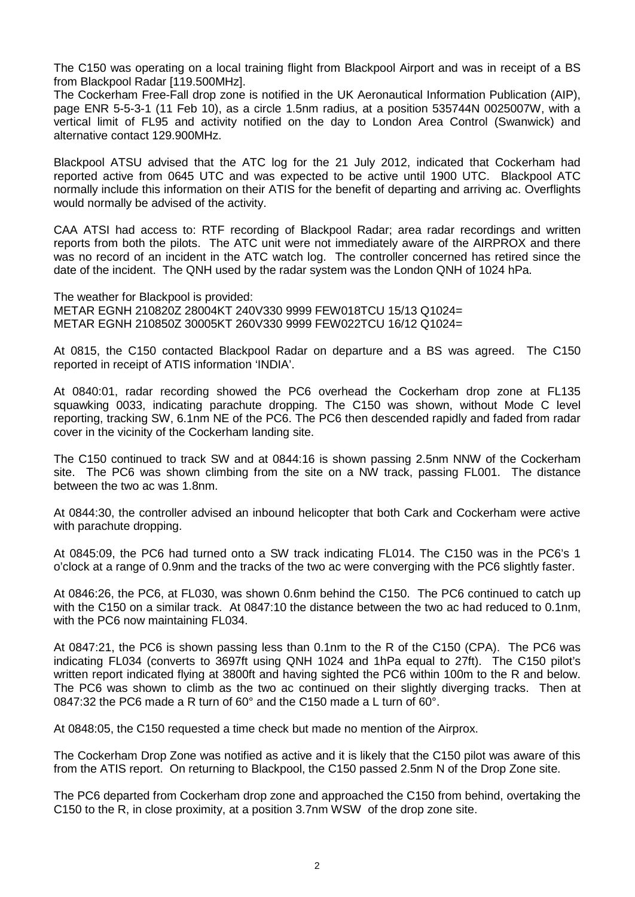The C150 was operating on a local training flight from Blackpool Airport and was in receipt of a BS from Blackpool Radar [119.500MHz].

The Cockerham Free-Fall drop zone is notified in the UK Aeronautical Information Publication (AIP), page ENR 5-5-3-1 (11 Feb 10), as a circle 1.5nm radius, at a position 535744N 0025007W, with a vertical limit of FL95 and activity notified on the day to London Area Control (Swanwick) and alternative contact 129.900MHz.

Blackpool ATSU advised that the ATC log for the 21 July 2012, indicated that Cockerham had reported active from 0645 UTC and was expected to be active until 1900 UTC. Blackpool ATC normally include this information on their ATIS for the benefit of departing and arriving ac. Overflights would normally be advised of the activity.

CAA ATSI had access to: RTF recording of Blackpool Radar; area radar recordings and written reports from both the pilots. The ATC unit were not immediately aware of the AIRPROX and there was no record of an incident in the ATC watch log. The controller concerned has retired since the date of the incident. The QNH used by the radar system was the London QNH of 1024 hPa.

The weather for Blackpool is provided: METAR EGNH 210820Z 28004KT 240V330 9999 FEW018TCU 15/13 Q1024= METAR EGNH 210850Z 30005KT 260V330 9999 FEW022TCU 16/12 Q1024=

At 0815, the C150 contacted Blackpool Radar on departure and a BS was agreed. The C150 reported in receipt of ATIS information 'INDIA'.

At 0840:01, radar recording showed the PC6 overhead the Cockerham drop zone at FL135 squawking 0033, indicating parachute dropping. The C150 was shown, without Mode C level reporting, tracking SW, 6.1nm NE of the PC6. The PC6 then descended rapidly and faded from radar cover in the vicinity of the Cockerham landing site.

The C150 continued to track SW and at 0844:16 is shown passing 2.5nm NNW of the Cockerham site. The PC6 was shown climbing from the site on a NW track, passing FL001. The distance between the two ac was 1.8nm.

At 0844:30, the controller advised an inbound helicopter that both Cark and Cockerham were active with parachute dropping.

At 0845:09, the PC6 had turned onto a SW track indicating FL014. The C150 was in the PC6's 1 o'clock at a range of 0.9nm and the tracks of the two ac were converging with the PC6 slightly faster.

At 0846:26, the PC6, at FL030, was shown 0.6nm behind the C150. The PC6 continued to catch up with the C150 on a similar track. At 0847:10 the distance between the two ac had reduced to 0.1nm, with the PC6 now maintaining FL034.

At 0847:21, the PC6 is shown passing less than 0.1nm to the R of the C150 (CPA). The PC6 was indicating FL034 (converts to 3697ft using QNH 1024 and 1hPa equal to 27ft). The C150 pilot's written report indicated flying at 3800ft and having sighted the PC6 within 100m to the R and below. The PC6 was shown to climb as the two ac continued on their slightly diverging tracks. Then at 0847:32 the PC6 made a R turn of 60° and the C150 made a L turn of 60°.

At 0848:05, the C150 requested a time check but made no mention of the Airprox.

The Cockerham Drop Zone was notified as active and it is likely that the C150 pilot was aware of this from the ATIS report. On returning to Blackpool, the C150 passed 2.5nm N of the Drop Zone site.

The PC6 departed from Cockerham drop zone and approached the C150 from behind, overtaking the C150 to the R, in close proximity, at a position 3.7nm WSW of the drop zone site.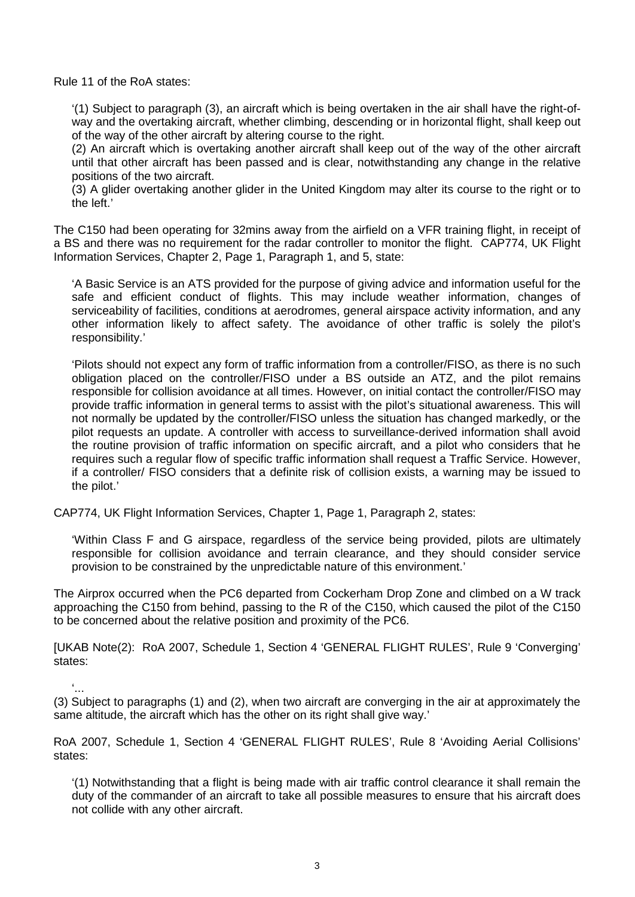Rule 11 of the RoA states:

'(1) Subject to paragraph (3), an aircraft which is being overtaken in the air shall have the right-ofway and the overtaking aircraft, whether climbing, descending or in horizontal flight, shall keep out of the way of the other aircraft by altering course to the right.

(2) An aircraft which is overtaking another aircraft shall keep out of the way of the other aircraft until that other aircraft has been passed and is clear, notwithstanding any change in the relative positions of the two aircraft.

(3) A glider overtaking another glider in the United Kingdom may alter its course to the right or to the left.'

The C150 had been operating for 32mins away from the airfield on a VFR training flight, in receipt of a BS and there was no requirement for the radar controller to monitor the flight. CAP774, UK Flight Information Services, Chapter 2, Page 1, Paragraph 1, and 5, state:

'A Basic Service is an ATS provided for the purpose of giving advice and information useful for the safe and efficient conduct of flights. This may include weather information, changes of serviceability of facilities, conditions at aerodromes, general airspace activity information, and any other information likely to affect safety. The avoidance of other traffic is solely the pilot's responsibility.'

'Pilots should not expect any form of traffic information from a controller/FISO, as there is no such obligation placed on the controller/FISO under a BS outside an ATZ, and the pilot remains responsible for collision avoidance at all times. However, on initial contact the controller/FISO may provide traffic information in general terms to assist with the pilot's situational awareness. This will not normally be updated by the controller/FISO unless the situation has changed markedly, or the pilot requests an update. A controller with access to surveillance-derived information shall avoid the routine provision of traffic information on specific aircraft, and a pilot who considers that he requires such a regular flow of specific traffic information shall request a Traffic Service. However, if a controller/ FISO considers that a definite risk of collision exists, a warning may be issued to the pilot.'

CAP774, UK Flight Information Services, Chapter 1, Page 1, Paragraph 2, states:

'Within Class F and G airspace, regardless of the service being provided, pilots are ultimately responsible for collision avoidance and terrain clearance, and they should consider service provision to be constrained by the unpredictable nature of this environment.'

The Airprox occurred when the PC6 departed from Cockerham Drop Zone and climbed on a W track approaching the C150 from behind, passing to the R of the C150, which caused the pilot of the C150 to be concerned about the relative position and proximity of the PC6.

[UKAB Note(2): RoA 2007, Schedule 1, Section 4 'GENERAL FLIGHT RULES', Rule 9 'Converging' states:

'... (3) Subject to paragraphs (1) and (2), when two aircraft are converging in the air at approximately the same altitude, the aircraft which has the other on its right shall give way.'

RoA 2007, Schedule 1, Section 4 'GENERAL FLIGHT RULES', Rule 8 'Avoiding Aerial Collisions' states:

'(1) Notwithstanding that a flight is being made with air traffic control clearance it shall remain the duty of the commander of an aircraft to take all possible measures to ensure that his aircraft does not collide with any other aircraft.